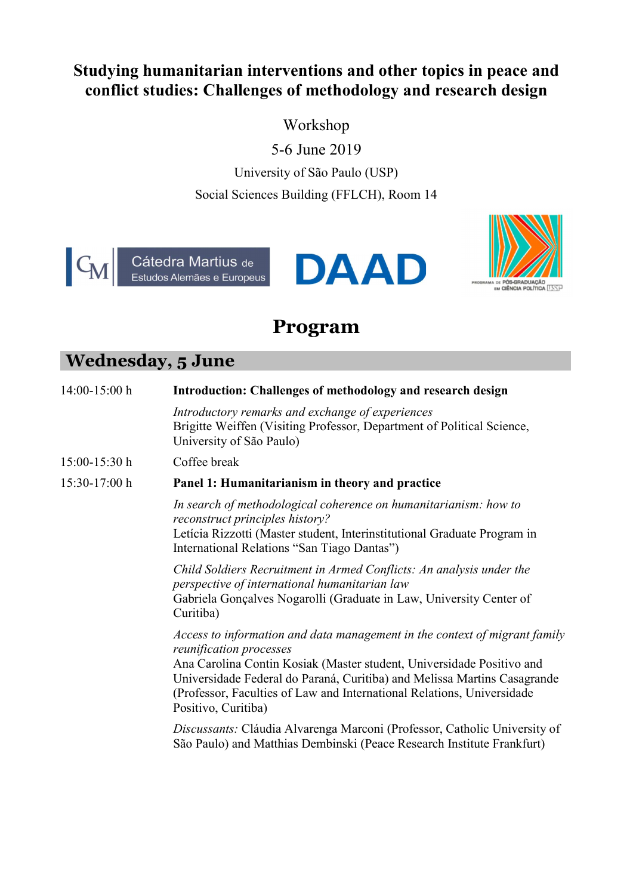## Studying humanitarian interventions and other topics in peace and conflict studies: Challenges of methodology and research design

Workshop

5-6 June 2019

University of São Paulo (USP) Social Sciences Building (FFLCH), Room 14





## Program

## Wednesday, 5 June

| 14:00-15:00 h | Introduction: Challenges of methodology and research design                                                                                                                                                                                                                                                                                                 |
|---------------|-------------------------------------------------------------------------------------------------------------------------------------------------------------------------------------------------------------------------------------------------------------------------------------------------------------------------------------------------------------|
|               | Introductory remarks and exchange of experiences<br>Brigitte Weiffen (Visiting Professor, Department of Political Science,<br>University of São Paulo)                                                                                                                                                                                                      |
| 15:00-15:30 h | Coffee break                                                                                                                                                                                                                                                                                                                                                |
| 15:30-17:00 h | Panel 1: Humanitarianism in theory and practice                                                                                                                                                                                                                                                                                                             |
|               | In search of methodological coherence on humanitarianism: how to<br>reconstruct principles history?<br>Letícia Rizzotti (Master student, Interinstitutional Graduate Program in<br>International Relations "San Tiago Dantas")                                                                                                                              |
|               | Child Soldiers Recruitment in Armed Conflicts: An analysis under the<br>perspective of international humanitarian law<br>Gabriela Gonçalves Nogarolli (Graduate in Law, University Center of<br>Curitiba)                                                                                                                                                   |
|               | Access to information and data management in the context of migrant family<br>reunification processes<br>Ana Carolina Contin Kosiak (Master student, Universidade Positivo and<br>Universidade Federal do Paraná, Curitiba) and Melissa Martins Casagrande<br>(Professor, Faculties of Law and International Relations, Universidade<br>Positivo, Curitiba) |
|               | Discussants: Cláudia Alvarenga Marconi (Professor, Catholic University of<br>São Paulo) and Matthias Dembinski (Peace Research Institute Frankfurt)                                                                                                                                                                                                         |